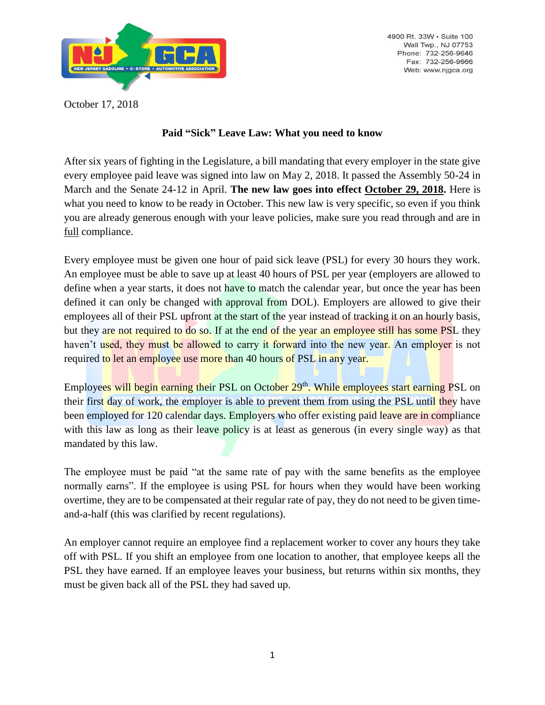

4900 Rt. 33W - Suite 100 Wall Twp., NJ 07753 Phone: 732-256-9646 Fax: 732-256-9666 Web: www.njgca.org

October 17, 2018

## **Paid "Sick" Leave Law: What you need to know**

After six years of fighting in the Legislature, a bill mandating that every employer in the state give every employee paid leave was signed into law on May 2, 2018. It passed the Assembly 50-24 in March and the Senate 24-12 in April. **The new law goes into effect October 29, 2018.** Here is what you need to know to be ready in October. This new law is very specific, so even if you think you are already generous enough with your leave policies, make sure you read through and are in full compliance.

Every employee must be given one hour of paid sick leave (PSL) for every 30 hours they work. An employee must be able to save up at least 40 hours of PSL per year (employers are allowed to define when a year starts, it does not have to match the calendar year, but once the year has been defined it can only be changed with approval from DOL). Employers are allowed to give their employees all of their PSL upfront at the start of the year instead of tracking it on an hourly basis, but they are not required to do so. If at the end of the year an employee still has some PSL they haven't used, they must be allowed to carry it forward into the new year. An employer is not required to let an employee use more than 40 hours of PSL in any year.

Employees will begin earning their PSL on October 29<sup>th</sup>. While employees start earning PSL on their first day of work, the employer is able to prevent them from using the PSL until they have been employed for 120 calendar days. Employers who offer existing paid leave are in compliance with this law as long as their leave policy is at least as generous (in every single way) as that mandated by this law.

The employee must be paid "at the same rate of pay with the same benefits as the employee normally earns". If the employee is using PSL for hours when they would have been working overtime, they are to be compensated at their regular rate of pay, they do not need to be given timeand-a-half (this was clarified by recent regulations).

An employer cannot require an employee find a replacement worker to cover any hours they take off with PSL. If you shift an employee from one location to another, that employee keeps all the PSL they have earned. If an employee leaves your business, but returns within six months, they must be given back all of the PSL they had saved up.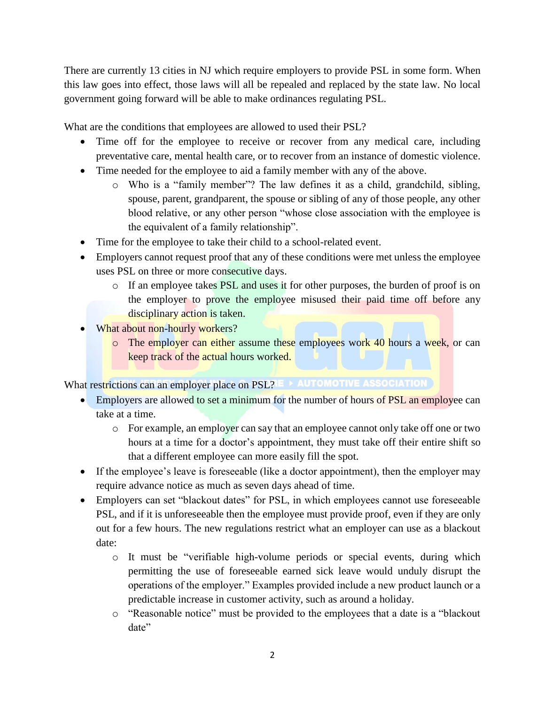There are currently 13 cities in NJ which require employers to provide PSL in some form. When this law goes into effect, those laws will all be repealed and replaced by the state law. No local government going forward will be able to make ordinances regulating PSL.

What are the conditions that employees are allowed to used their PSL?

- Time off for the employee to receive or recover from any medical care, including preventative care, mental health care, or to recover from an instance of domestic violence.
- Time needed for the employee to aid a family member with any of the above.
	- o Who is a "family member"? The law defines it as a child, grandchild, sibling, spouse, parent, grandparent, the spouse or sibling of any of those people, any other blood relative, or any other person "whose close association with the employee is the equivalent of a family relationship".
- Time for the employee to take their child to a school-related event.
- Employers cannot request proof that any of these conditions were met unless the employee uses PSL on three or more consecutive days.
	- $\circ$  If an employee takes PSL and uses it for other purposes, the burden of proof is on the employer to prove the employee misused their paid time off before any disciplinary action is taken.
- What about non-hourly workers?
	- o The employer can either assume these employees work 40 hours a week, or can keep track of the actual hours worked.

What restrictions can an employer place on PSL? E > AUTOMOTIVE ASSOCIATION

- Employers are allowed to set a minimum for the number of hours of PSL an employee can take at a time.
	- o For example, an employer can say that an employee cannot only take off one or two hours at a time for a doctor's appointment, they must take off their entire shift so that a different employee can more easily fill the spot.
- If the employee's leave is foreseeable (like a doctor appointment), then the employer may require advance notice as much as seven days ahead of time.
- Employers can set "blackout dates" for PSL, in which employees cannot use foreseeable PSL, and if it is unforeseeable then the employee must provide proof, even if they are only out for a few hours. The new regulations restrict what an employer can use as a blackout date:
	- o It must be "verifiable high-volume periods or special events, during which permitting the use of foreseeable earned sick leave would unduly disrupt the operations of the employer." Examples provided include a new product launch or a predictable increase in customer activity, such as around a holiday.
	- o "Reasonable notice" must be provided to the employees that a date is a "blackout date"